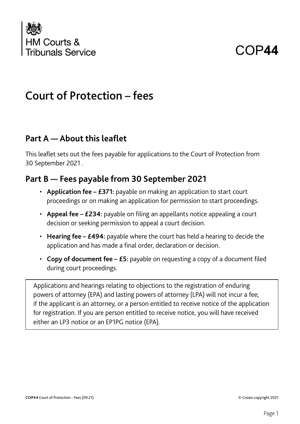

# COP**44**

## Court of Protection – fees

#### **Part A — About this leaflet**

This leaflet sets out the fees payable for applications to the Court of Protection from 30 September 2021 .

#### **Part B — Fees payable from 30 September 2021**

- **Application fee £371:** payable on making an application to start court proceedings or on making an application for permission to start proceedings.
- **Appeal fee £234:** payable on filing an appellants notice appealing a court decision or seeking permission to appeal a court decision.
- **Hearing fee £494:** payable where the court has held a hearing to decide the application and has made a final order, declaration or decision.
- **Copy of document fee £5:** payable on requesting a copy of a document filed during court proceedings.

Applications and hearings relating to objections to the registration of enduring powers of attorney (EPA) and lasting powers of attorney (LPA) will not incur a fee; if the applicant is an attorney, or a person entitled to receive notice of the application for registration. If you are person entitled to receive notice, you will have received either an LP3 notice or an EP1PG notice (EPA).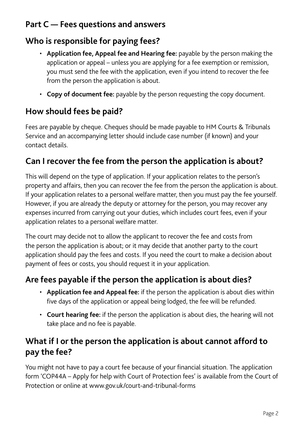## **Part C — Fees questions and answers**

## **Who is responsible for paying fees?**

- **Application fee, Appeal fee and Hearing fee:** payable by the person making the application or appeal – unless you are applying for a fee exemption or remission, you must send the fee with the application, even if you intend to recover the fee from the person the application is about.
- **Copy of document fee:** payable by the person requesting the copy document.

## **How should fees be paid?**

Fees are payable by cheque. Cheques should be made payable to HM Courts & Tribunals Service and an accompanying letter should include case number (if known) and your contact details.

#### **Can I recover the fee from the person the application is about?**

This will depend on the type of application. If your application relates to the person's property and affairs, then you can recover the fee from the person the application is about. If your application relates to a personal welfare matter, then you must pay the fee yourself. However, if you are already the deputy or attorney for the person, you may recover any expenses incurred from carrying out your duties, which includes court fees, even if your application relates to a personal welfare matter.

The court may decide not to allow the applicant to recover the fee and costs from the person the application is about; or it may decide that another party to the court application should pay the fees and costs. If you need the court to make a decision about payment of fees or costs, you should request it in your application.

#### **Are fees payable if the person the application is about dies?**

- **Application fee and Appeal fee:** if the person the application is about dies within five days of the application or appeal being lodged, the fee will be refunded.
- **Court hearing fee:** if the person the application is about dies, the hearing will not take place and no fee is payable.

#### **What if I or the person the application is about cannot afford to pay the fee?**

You might not have to pay a court fee because of your financial situation. The application form 'COP44A – Apply for help with Court of Protection fees' is available from the Court of Protection or online at www.gov.uk/court-and-tribunal-forms